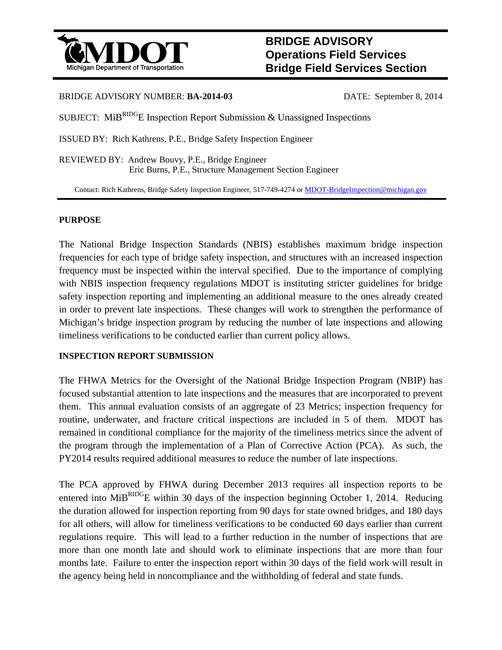

# **BRIDGE ADVISORY Operations Field Services Bridge Field Services Section**

### BRIDGE ADVISORY NUMBER: **BA-2014-03** DATE: September 8, 2014

SUBJECT: MiB<sup>RIDG</sup>E Inspection Report Submission & Unassigned Inspections

ISSUED BY: Rich Kathrens, P.E., Bridge Safety Inspection Engineer

REVIEWED BY: Andrew Bouvy, P.E., Bridge Engineer Eric Burns, P.E., Structure Management Section Engineer

Contact: Rich Kathrens, Bridge Safety Inspection Engineer, 517-749-4274 or MDOT-BridgeInspection@michigan.gov

## **PURPOSE**

The National Bridge Inspection Standards (NBIS) establishes maximum bridge inspection frequencies for each type of bridge safety inspection, and structures with an increased inspection frequency must be inspected within the interval specified. Due to the importance of complying with NBIS inspection frequency regulations MDOT is instituting stricter guidelines for bridge safety inspection reporting and implementing an additional measure to the ones already created in order to prevent late inspections. These changes will work to strengthen the performance of Michigan's bridge inspection program by reducing the number of late inspections and allowing timeliness verifications to be conducted earlier than current policy allows.

## **INSPECTION REPORT SUBMISSION**

The FHWA Metrics for the Oversight of the National Bridge Inspection Program (NBIP) has focused substantial attention to late inspections and the measures that are incorporated to prevent them. This annual evaluation consists of an aggregate of 23 Metrics; inspection frequency for routine, underwater, and fracture critical inspections are included in 5 of them. MDOT has remained in conditional compliance for the majority of the timeliness metrics since the advent of the program through the implementation of a Plan of Corrective Action (PCA). As such, the PY2014 results required additional measures to reduce the number of late inspections.

The PCA approved by FHWA during December 2013 requires all inspection reports to be entered into MiB<sup>RIDG</sup>E within 30 days of the inspection beginning October 1, 2014. Reducing the duration allowed for inspection reporting from 90 days for state owned bridges, and 180 days for all others, will allow for timeliness verifications to be conducted 60 days earlier than current regulations require. This will lead to a further reduction in the number of inspections that are more than one month late and should work to eliminate inspections that are more than four months late. Failure to enter the inspection report within 30 days of the field work will result in the agency being held in noncompliance and the withholding of federal and state funds.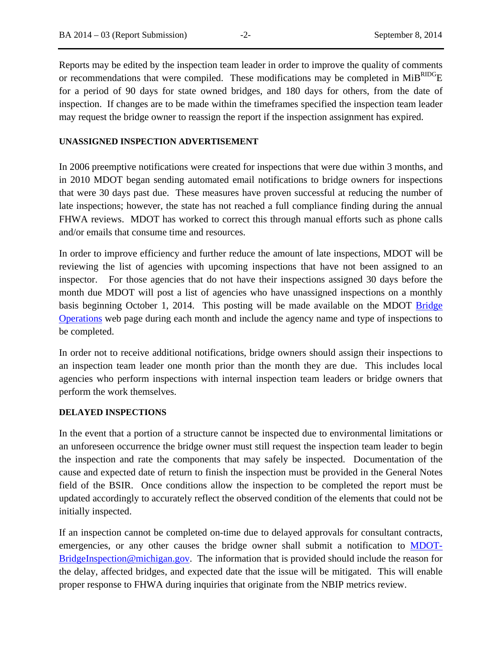Reports may be edited by the inspection team leader in order to improve the quality of comments or recommendations that were compiled. These modifications may be completed in  $MiB^{RIDG}E$ for a period of 90 days for state owned bridges, and 180 days for others, from the date of inspection. If changes are to be made within the timeframes specified the inspection team leader may request the bridge owner to reassign the report if the inspection assignment has expired.

#### **UNASSIGNED INSPECTION ADVERTISEMENT**

In 2006 preemptive notifications were created for inspections that were due within 3 months, and in 2010 MDOT began sending automated email notifications to bridge owners for inspections that were 30 days past due. These measures have proven successful at reducing the number of late inspections; however, the state has not reached a full compliance finding during the annual FHWA reviews. MDOT has worked to correct this through manual efforts such as phone calls and/or emails that consume time and resources.

In order to improve efficiency and further reduce the amount of late inspections, MDOT will be reviewing the list of agencies with upcoming inspections that have not been assigned to an inspector. For those agencies that do not have their inspections assigned 30 days before the month due MDOT will post a list of agencies who have unassigned inspections on a monthly basis beginning October 1, 2014. This posting will be made available on the MDOT Bridge Operations web page during each month and include the agency name and type of inspections to be completed.

In order not to receive additional notifications, bridge owners should assign their inspections to an inspection team leader one month prior than the month they are due. This includes local agencies who perform inspections with internal inspection team leaders or bridge owners that perform the work themselves.

#### **DELAYED INSPECTIONS**

In the event that a portion of a structure cannot be inspected due to environmental limitations or an unforeseen occurrence the bridge owner must still request the inspection team leader to begin the inspection and rate the components that may safely be inspected. Documentation of the cause and expected date of return to finish the inspection must be provided in the General Notes field of the BSIR. Once conditions allow the inspection to be completed the report must be updated accordingly to accurately reflect the observed condition of the elements that could not be initially inspected.

If an inspection cannot be completed on-time due to delayed approvals for consultant contracts, emergencies, or any other causes the bridge owner shall submit a notification to **MDOT**-BridgeInspection@michigan.gov. The information that is provided should include the reason for the delay, affected bridges, and expected date that the issue will be mitigated. This will enable proper response to FHWA during inquiries that originate from the NBIP metrics review.